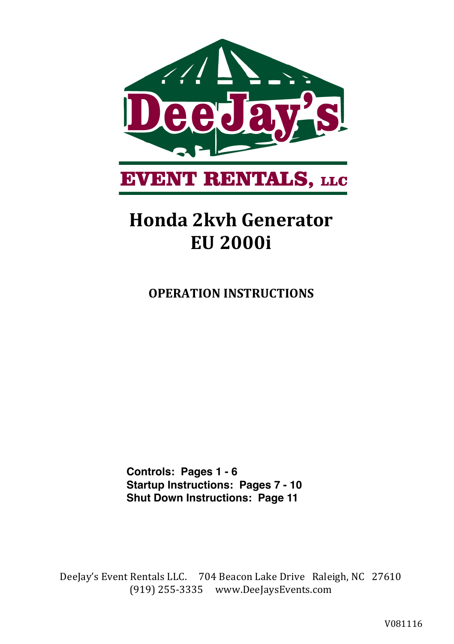

# **Honda 2kvh Generator EU 2000i**

**OPERATION INSTRUCTIONS** 

**Controls: Pages 1 - 6 Startup Instructions: Pages 7 - 10 Shut Down Instructions: Page 11**

DeeJay's Event Rentals LLC. 704 Beacon Lake Drive Raleigh, NC 27610  $(919)$  255-3335 www.DeeJaysEvents.com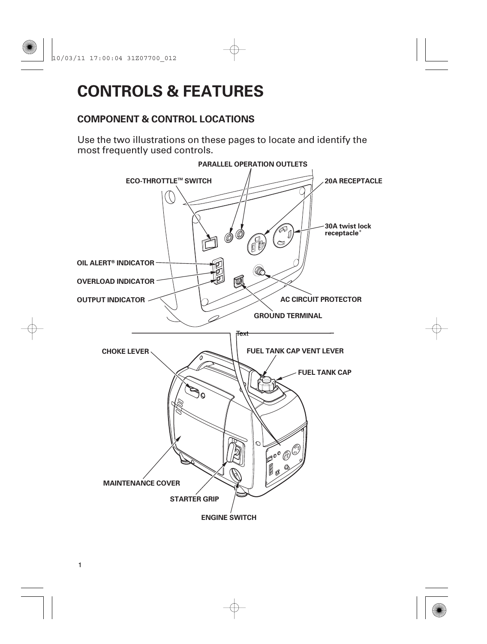# **CONTROLS & FEATURES**

# **COMPONENT & CONTROL LOCATIONS**

Use the two illustrations on these pages to locate and identify the most frequently used controls.

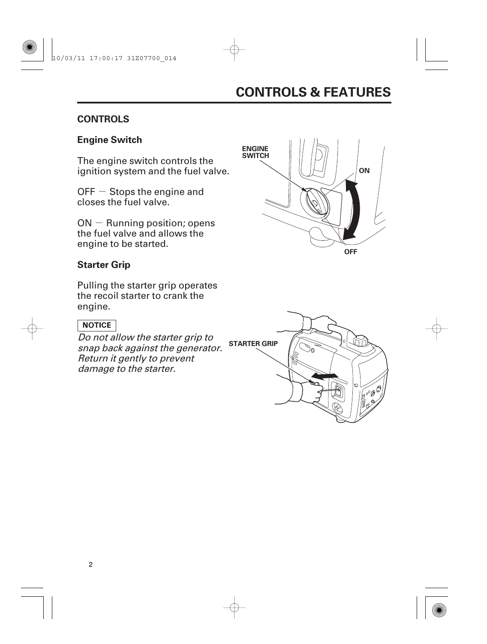## **CONTROLS**

# **Engine Switch**

The engine switch controls the ignition system and the fuel valve.

OFF  $-$  Stops the engine and closes the fuel valve.

 $ON -$  Running position; opens the fuel valve and allows the engine to be started.

## **Starter Grip**

Pulling the starter grip operates the recoil starter to crank the engine.

#### **NOTICE**

Do not allow the starter grip to snap back against the generator. Return it gently to prevent damage to the starter.



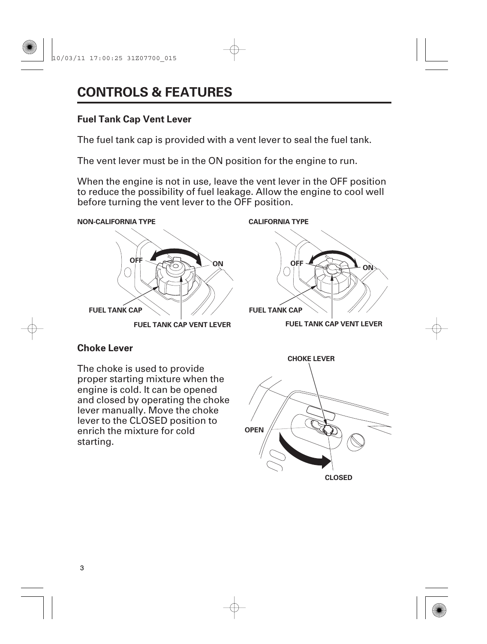# **Fuel Tank Cap Vent Lever**

The fuel tank cap is provided with a vent lever to seal the fuel tank.

The vent lever must be in the ON position for the engine to run.

When the engine is not in use, leave the vent lever in the OFF position to reduce the possibility of fuel leakage. Allow the engine to cool well before turning the vent lever to the OFF position.

**NON-CALIFORNIA TYPE CALIFORNIA TYPE**



**FUEL TANK CAP VENT LEVER**



**FUEL TANK CAP VENT LEVER**

# **Choke Lever**

The choke is used to provide proper starting mixture when the engine is cold. It can be opened and closed by operating the choke lever manually. Move the choke lever to the CLOSED position to enrich the mixture for cold starting.

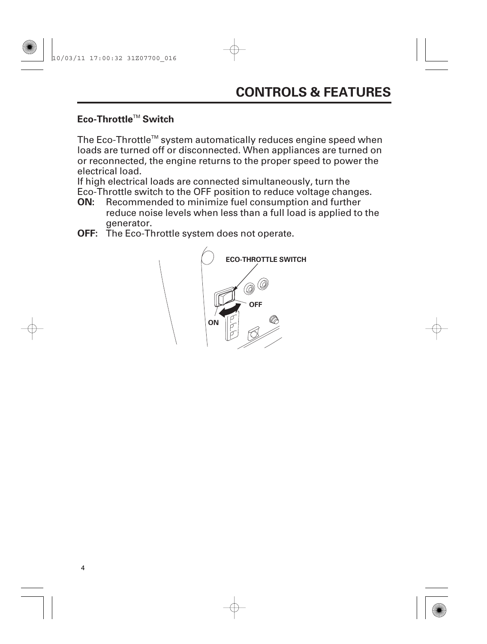# Eco-Throttle™ Switch

The Eco-Throttle<sup> $m$ </sup> system automatically reduces engine speed when loads are turned off or disconnected. When appliances are turned on or reconnected, the engine returns to the proper speed to power the electrical load.

If high electrical loads are connected simultaneously, turn the Eco-Throttle switch to the OFF position to reduce voltage changes.

- **ON:** Recommended to minimize fuel consumption and further reduce noise levels when less than a full load is applied to the generator.
- **OFF:** The Eco-Throttle system does not operate.

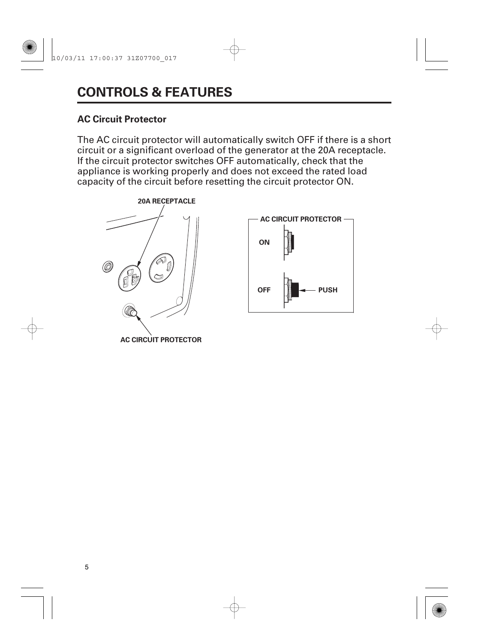### **AC Circuit Protector**

The AC circuit protector will automatically switch OFF if there is a short circuit or a significant overload of the generator at the 20A receptacle. If the circuit protector switches OFF automatically, check that the appliance is working properly and does not exceed the rated load capacity of the circuit before resetting the circuit protector ON.



**AC CIRCUIT PROTECTOR**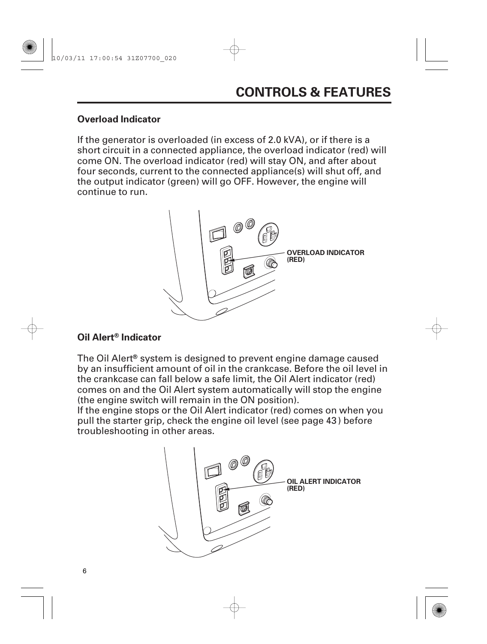#### **Overload Indicator**

If the generator is overloaded (in excess of 2.0 kVA), or if there is a short circuit in a connected appliance, the overload indicator (red) will come ON. The overload indicator (red) will stay ON, and after about four seconds, current to the connected appliance(s) will shut off, and the output indicator (green) will go OFF. However, the engine will continue to run.



#### **Oil Alert<sup>®</sup> Indicator**

The Oil Alert<sup>®</sup> system is designed to prevent engine damage caused by an insufficient amount of oil in the crankcase. Before the oil level in the crankcase can fall below a safe limit, the Oil Alert indicator (red) comes on and the Oil Alert system automatically will stop the engine (the engine switch will remain in the ON position).

If the engine stops or the Oil Alert indicator (red) comes on when you pull the starter grip, check the engine oil level (see page 43 ) before troubleshooting in other areas.

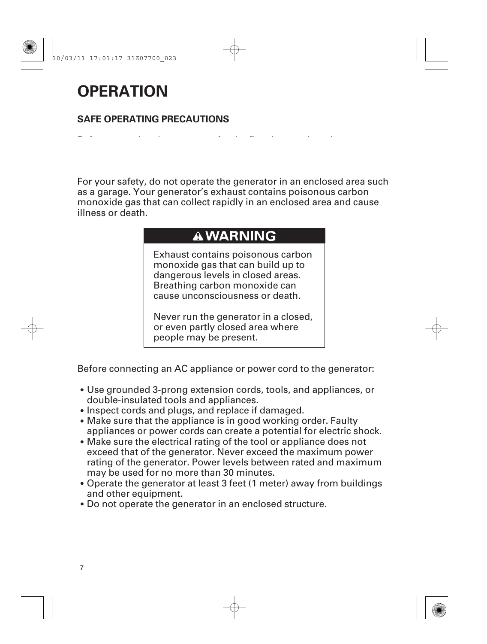# **OPERATION**

## **SAFE OPERATING PRECAUTIONS**

Before operating the generator for the first time, review chapters

For your safety, do not operate the generator in an enclosed area such as a garage. Your generator's exhaust contains poisonous carbon monoxide gas that can collect rapidly in an enclosed area and cause illness or death.

# **A WARNING**

Exhaust contains poisonous carbon monoxide gas that can build up to dangerous levels in closed areas. Breathing carbon monoxide can cause unconsciousness or death.

Never run the generator in a closed, or even partly closed area where people may be present.

Before connecting an AC appliance or power cord to the generator:

- Use grounded 3-prong extension cords, tools, and appliances, or double-insulated tools and appliances.
- Inspect cords and plugs, and replace if damaged.
- Make sure that the appliance is in good working order. Faulty appliances or power cords can create a potential for electric shock.
- Make sure the electrical rating of the tool or appliance does not exceed that of the generator. Never exceed the maximum power rating of the generator. Power levels between rated and maximum may be used for no more than 30 minutes.
- Operate the generator at least 3 feet (1 meter) away from buildings and other equipment.
- Do not operate the generator in an enclosed structure.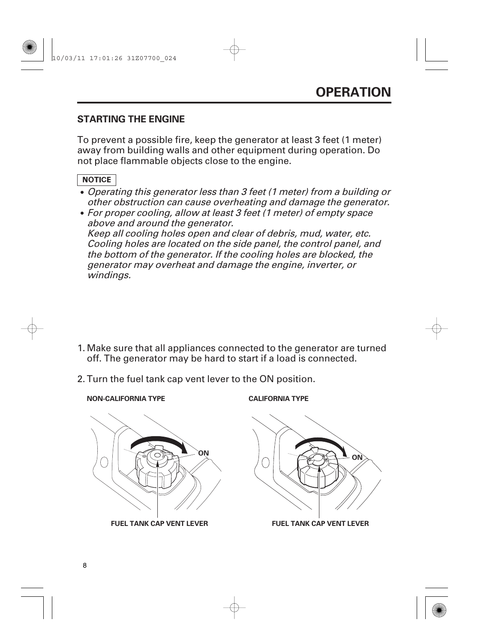### **STARTING THE ENGINE**

To prevent a possible fire, keep the generator at least 3 feet (1 meter) away from building walls and other equipment during operation. Do not place flammable objects close to the engine.

#### **NOTICE**

- Operating this generator less than 3 feet (1 meter) from <sup>a</sup> building or other obstruction can cause overheating and damage the generator.
- For proper cooling, allow at least 3 feet (1 meter) of empty space above and around the generator. Keep all cooling holes open and clear of debris, mud, water, etc. Cooling holes are located on the side panel, the control panel, and the bottom of the generator. If the cooling holes are blocked, the generator may overheat and damage the engine, inverter, or windings.

- Make sure that all appliances connected to the generator are turned 1. off. The generator may be hard to start if a load is connected.
- 2. Turn the fuel tank cap vent lever to the ON position.
	- **NON-CALIFORNIA TYPE CALIFORNIA TYPE**



**FUEL TANK CAP VENT LEVER**



**FUEL TANK CAP VENT LEVER**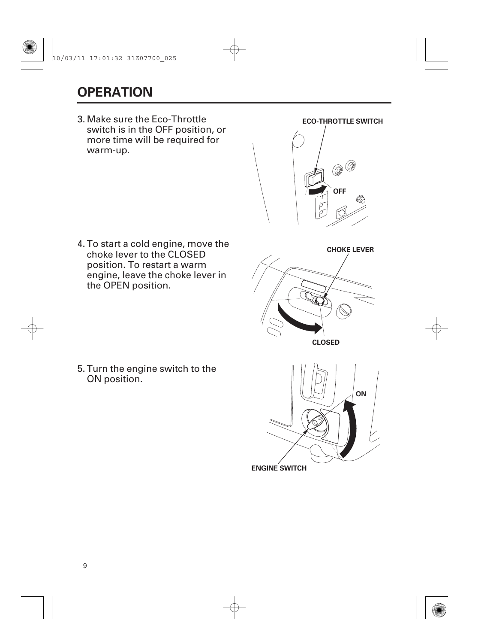# **OPERATION**

Make sure the Eco-Throttle 3. switch is in the OFF position, or more time will be required for warm-up.



**CHOKE LEVER**

**ON**

4. To start a cold engine, move the choke lever to the CLOSED position. To restart a warm engine, leave the choke lever in the OPEN position.

5. Turn the engine switch to the ON position.

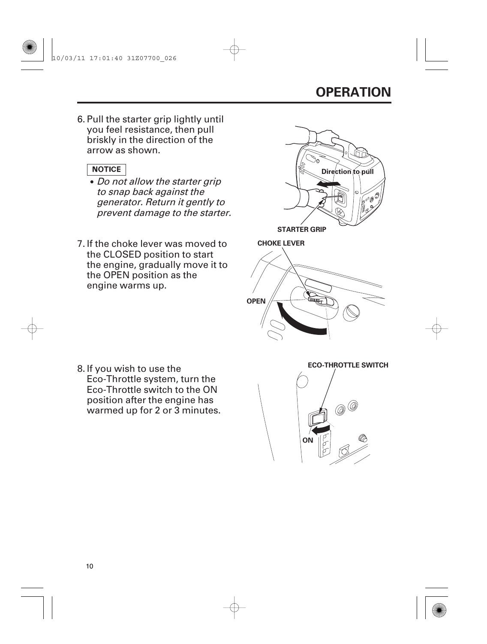# **OPERATION**

6. Pull the starter grip lightly until you feel resistance, then pull briskly in the direction of the arrow as shown.

#### **NOTICE**

- Do not allow the starter grip to snap back against the generator. Return it gently to prevent damage to the starter.
- 7. If the choke lever was moved to the CLOSED position to start the engine, gradually move it to the OPEN position as the engine warms up.



8. If you wish to use the Eco-Throttle system, turn the Eco-Throttle switch to the ON position after the engine has warmed up for 2 or 3 minutes.



**ECO-THROTTLE SWITCH**